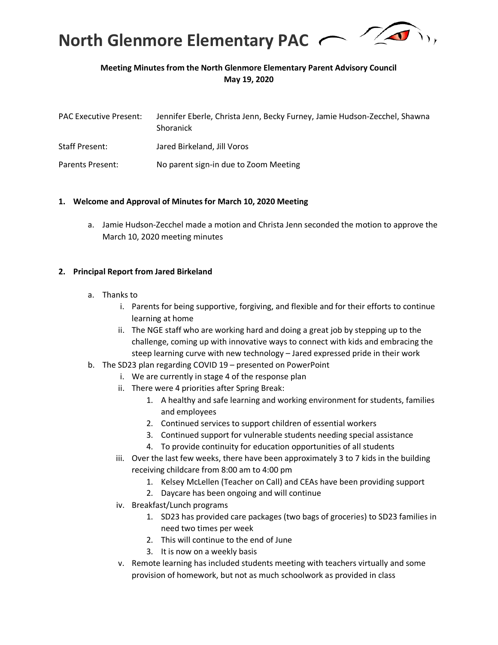

## **Meeting Minutes from the North Glenmore Elementary Parent Advisory Council May 19, 2020**

| <b>PAC Executive Present:</b> | Jennifer Eberle, Christa Jenn, Becky Furney, Jamie Hudson-Zecchel, Shawna<br>Shoranick |
|-------------------------------|----------------------------------------------------------------------------------------|
| <b>Staff Present:</b>         | Jared Birkeland, Jill Voros                                                            |
| Parents Present:              | No parent sign-in due to Zoom Meeting                                                  |

### **1. Welcome and Approval of Minutes for March 10, 2020 Meeting**

a. Jamie Hudson-Zecchel made a motion and Christa Jenn seconded the motion to approve the March 10, 2020 meeting minutes

### **2. Principal Report from Jared Birkeland**

- a. Thanks to
	- i. Parents for being supportive, forgiving, and flexible and for their efforts to continue learning at home
	- ii. The NGE staff who are working hard and doing a great job by stepping up to the challenge, coming up with innovative ways to connect with kids and embracing the steep learning curve with new technology – Jared expressed pride in their work
- b. The SD23 plan regarding COVID 19 presented on PowerPoint
	- i. We are currently in stage 4 of the response plan
	- ii. There were 4 priorities after Spring Break:
		- 1. A healthy and safe learning and working environment for students, families and employees
		- 2. Continued services to support children of essential workers
		- 3. Continued support for vulnerable students needing special assistance
		- 4. To provide continuity for education opportunities of all students
	- iii. Over the last few weeks, there have been approximately 3 to 7 kids in the building receiving childcare from 8:00 am to 4:00 pm
		- 1. Kelsey McLellen (Teacher on Call) and CEAs have been providing support
		- 2. Daycare has been ongoing and will continue
	- iv. Breakfast/Lunch programs
		- 1. SD23 has provided care packages (two bags of groceries) to SD23 families in need two times per week
		- 2. This will continue to the end of June
		- 3. It is now on a weekly basis
	- v. Remote learning has included students meeting with teachers virtually and some provision of homework, but not as much schoolwork as provided in class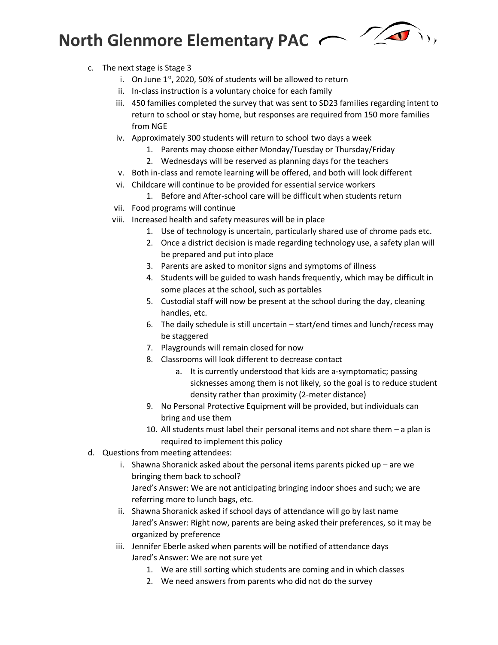

- c. The next stage is Stage 3
	- i. On June  $1<sup>st</sup>$ , 2020, 50% of students will be allowed to return
	- ii. In-class instruction is a voluntary choice for each family
	- iii. 450 families completed the survey that was sent to SD23 families regarding intent to return to school or stay home, but responses are required from 150 more families from NGE
	- iv. Approximately 300 students will return to school two days a week
		- 1. Parents may choose either Monday/Tuesday or Thursday/Friday
		- 2. Wednesdays will be reserved as planning days for the teachers
	- v. Both in-class and remote learning will be offered, and both will look different
	- vi. Childcare will continue to be provided for essential service workers
		- 1. Before and After-school care will be difficult when students return
	- vii. Food programs will continue
	- viii. Increased health and safety measures will be in place
		- 1. Use of technology is uncertain, particularly shared use of chrome pads etc.
		- 2. Once a district decision is made regarding technology use, a safety plan will be prepared and put into place
		- 3. Parents are asked to monitor signs and symptoms of illness
		- 4. Students will be guided to wash hands frequently, which may be difficult in some places at the school, such as portables
		- 5. Custodial staff will now be present at the school during the day, cleaning handles, etc.
		- 6. The daily schedule is still uncertain start/end times and lunch/recess may be staggered
		- 7. Playgrounds will remain closed for now
		- 8. Classrooms will look different to decrease contact
			- a. It is currently understood that kids are a-symptomatic; passing sicknesses among them is not likely, so the goal is to reduce student density rather than proximity (2-meter distance)
		- 9. No Personal Protective Equipment will be provided, but individuals can bring and use them
		- 10. All students must label their personal items and not share them a plan is required to implement this policy
- d. Questions from meeting attendees:
	- i. Shawna Shoranick asked about the personal items parents picked up are we bringing them back to school?

Jared's Answer: We are not anticipating bringing indoor shoes and such; we are referring more to lunch bags, etc.

- ii. Shawna Shoranick asked if school days of attendance will go by last name Jared's Answer: Right now, parents are being asked their preferences, so it may be organized by preference
- iii. Jennifer Eberle asked when parents will be notified of attendance days Jared's Answer: We are not sure yet
	- 1. We are still sorting which students are coming and in which classes
	- 2. We need answers from parents who did not do the survey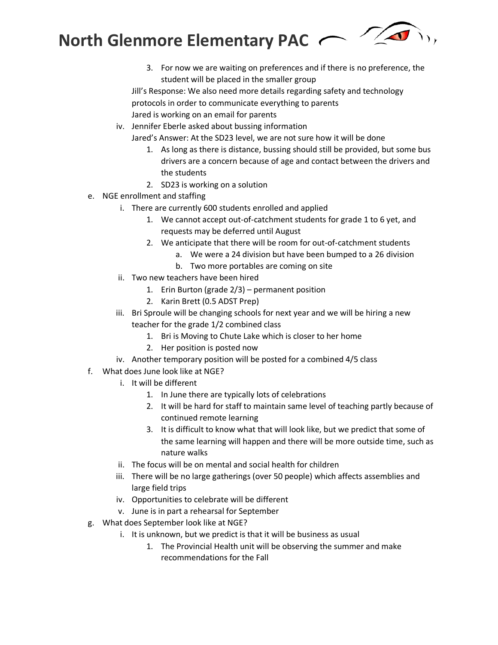

3. For now we are waiting on preferences and if there is no preference, the student will be placed in the smaller group

Jill's Response: We also need more details regarding safety and technology protocols in order to communicate everything to parents Jared is working on an email for parents

iv. Jennifer Eberle asked about bussing information

Jared's Answer: At the SD23 level, we are not sure how it will be done

- 1. As long as there is distance, bussing should still be provided, but some bus drivers are a concern because of age and contact between the drivers and the students
- 2. SD23 is working on a solution
- e. NGE enrollment and staffing
	- i. There are currently 600 students enrolled and applied
		- 1. We cannot accept out-of-catchment students for grade 1 to 6 yet, and requests may be deferred until August
		- 2. We anticipate that there will be room for out-of-catchment students
			- a. We were a 24 division but have been bumped to a 26 division
			- b. Two more portables are coming on site
	- ii. Two new teachers have been hired
		- 1. Erin Burton (grade 2/3) permanent position
		- 2. Karin Brett (0.5 ADST Prep)
	- iii. Bri Sproule will be changing schools for next year and we will be hiring a new teacher for the grade 1/2 combined class
		- 1. Bri is Moving to Chute Lake which is closer to her home
		- 2. Her position is posted now
	- iv. Another temporary position will be posted for a combined 4/5 class
- f. What does June look like at NGE?
	- i. It will be different
		- 1. In June there are typically lots of celebrations
		- 2. It will be hard for staff to maintain same level of teaching partly because of continued remote learning
		- 3. It is difficult to know what that will look like, but we predict that some of the same learning will happen and there will be more outside time, such as nature walks
	- ii. The focus will be on mental and social health for children
	- iii. There will be no large gatherings (over 50 people) which affects assemblies and large field trips
	- iv. Opportunities to celebrate will be different
	- v. June is in part a rehearsal for September
- g. What does September look like at NGE?
	- i. It is unknown, but we predict is that it will be business as usual
		- 1. The Provincial Health unit will be observing the summer and make recommendations for the Fall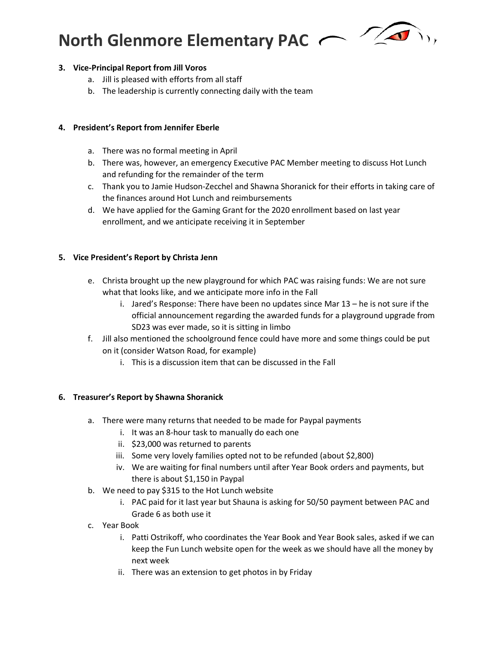

## **3. Vice-Principal Report from Jill Voros**

- a. Jill is pleased with efforts from all staff
- b. The leadership is currently connecting daily with the team

## **4. President's Report from Jennifer Eberle**

- a. There was no formal meeting in April
- b. There was, however, an emergency Executive PAC Member meeting to discuss Hot Lunch and refunding for the remainder of the term
- c. Thank you to Jamie Hudson-Zecchel and Shawna Shoranick for their efforts in taking care of the finances around Hot Lunch and reimbursements
- d. We have applied for the Gaming Grant for the 2020 enrollment based on last year enrollment, and we anticipate receiving it in September

## **5. Vice President's Report by Christa Jenn**

- e. Christa brought up the new playground for which PAC was raising funds: We are not sure what that looks like, and we anticipate more info in the Fall
	- i. Jared's Response: There have been no updates since Mar 13 he is not sure if the official announcement regarding the awarded funds for a playground upgrade from SD23 was ever made, so it is sitting in limbo
- f. Jill also mentioned the schoolground fence could have more and some things could be put on it (consider Watson Road, for example)
	- i. This is a discussion item that can be discussed in the Fall

## **6. Treasurer's Report by Shawna Shoranick**

- a. There were many returns that needed to be made for Paypal payments
	- i. It was an 8-hour task to manually do each one
	- ii. \$23,000 was returned to parents
	- iii. Some very lovely families opted not to be refunded (about \$2,800)
	- iv. We are waiting for final numbers until after Year Book orders and payments, but there is about \$1,150 in Paypal
- b. We need to pay \$315 to the Hot Lunch website
	- i. PAC paid for it last year but Shauna is asking for 50/50 payment between PAC and Grade 6 as both use it
- c. Year Book
	- i. Patti Ostrikoff, who coordinates the Year Book and Year Book sales, asked if we can keep the Fun Lunch website open for the week as we should have all the money by next week
	- ii. There was an extension to get photos in by Friday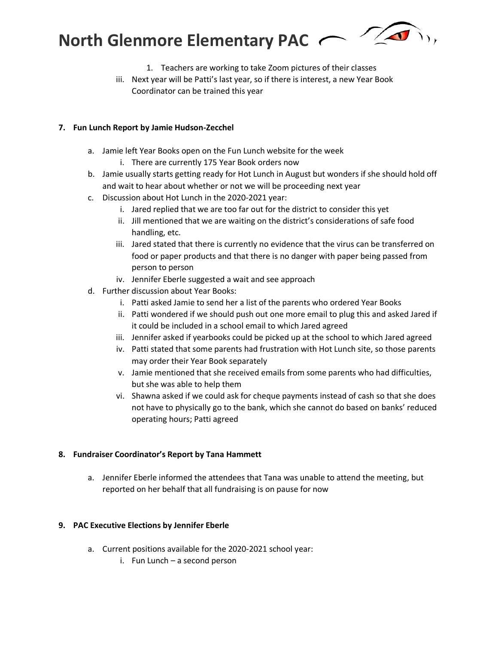

- 1. Teachers are working to take Zoom pictures of their classes
- iii. Next year will be Patti's last year, so if there is interest, a new Year Book Coordinator can be trained this year

### **7. Fun Lunch Report by Jamie Hudson-Zecchel**

- a. Jamie left Year Books open on the Fun Lunch website for the week
	- i. There are currently 175 Year Book orders now
- b. Jamie usually starts getting ready for Hot Lunch in August but wonders if she should hold off and wait to hear about whether or not we will be proceeding next year
- c. Discussion about Hot Lunch in the 2020-2021 year:
	- i. Jared replied that we are too far out for the district to consider this yet
	- ii. Jill mentioned that we are waiting on the district's considerations of safe food handling, etc.
	- iii. Jared stated that there is currently no evidence that the virus can be transferred on food or paper products and that there is no danger with paper being passed from person to person
	- iv. Jennifer Eberle suggested a wait and see approach
- d. Further discussion about Year Books:
	- i. Patti asked Jamie to send her a list of the parents who ordered Year Books
	- ii. Patti wondered if we should push out one more email to plug this and asked Jared if it could be included in a school email to which Jared agreed
	- iii. Jennifer asked if yearbooks could be picked up at the school to which Jared agreed
	- iv. Patti stated that some parents had frustration with Hot Lunch site, so those parents may order their Year Book separately
	- v. Jamie mentioned that she received emails from some parents who had difficulties, but she was able to help them
	- vi. Shawna asked if we could ask for cheque payments instead of cash so that she does not have to physically go to the bank, which she cannot do based on banks' reduced operating hours; Patti agreed

#### **8. Fundraiser Coordinator's Report by Tana Hammett**

a. Jennifer Eberle informed the attendees that Tana was unable to attend the meeting, but reported on her behalf that all fundraising is on pause for now

#### **9. PAC Executive Elections by Jennifer Eberle**

- a. Current positions available for the 2020-2021 school year:
	- i. Fun Lunch a second person